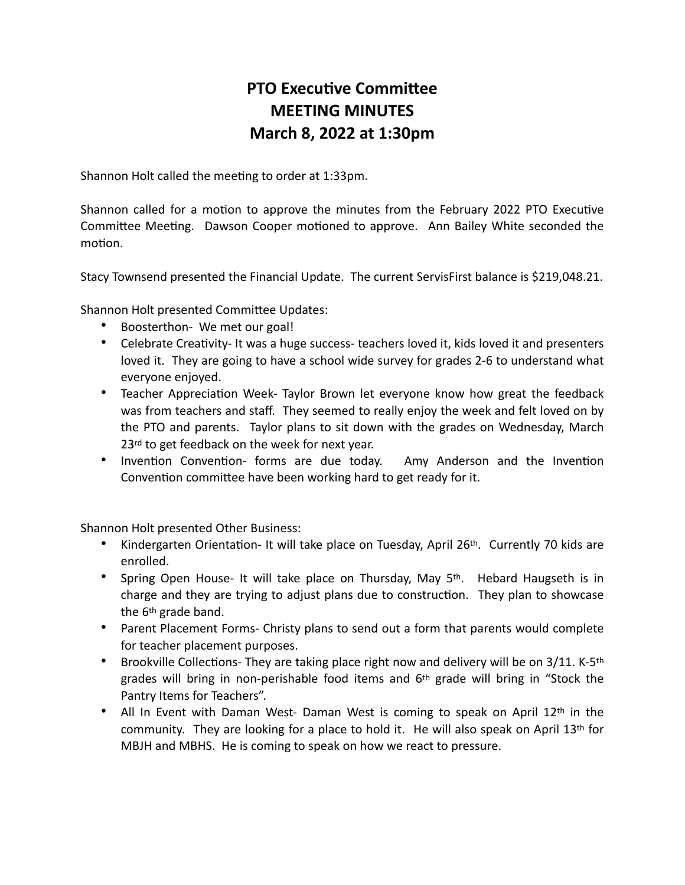## **PTO Executive Committee MEETING MINUTES March 8, 2022 at 1:30pm**

Shannon Holt called the meeting to order at 1:33pm.

Shannon called for a motion to approve the minutes from the February 2022 PTO Executive Committee Meeting. Dawson Cooper motioned to approve. Ann Bailey White seconded the motion.

Stacy Townsend presented the Financial Update. The current ServisFirst balance is \$219,048.21.

Shannon Holt presented Committee Updates:

- Boosterthon- We met our goal!
- Celebrate Creativity- It was a huge success- teachers loved it, kids loved it and presenters loved it. They are going to have a school wide survey for grades 2-6 to understand what everyone enjoyed.
- Teacher Appreciation Week- Taylor Brown let everyone know how great the feedback was from teachers and staff. They seemed to really enjoy the week and felt loved on by the PTO and parents. Taylor plans to sit down with the grades on Wednesday, March 23<sup>rd</sup> to get feedback on the week for next year.
- Invention Convention- forms are due today. Amy Anderson and the Invention Convention committee have been working hard to get ready for it.

Shannon Holt presented Other Business:

- Kindergarten Orientation- It will take place on Tuesday, April 26<sup>th</sup>. Currently 70 kids are enrolled.
- Spring Open House- It will take place on Thursday, May 5th. Hebard Haugseth is in charge and they are trying to adjust plans due to construction. They plan to showcase the 6th grade band.
- Parent Placement Forms- Christy plans to send out a form that parents would complete for teacher placement purposes.
- Brookville Collections- They are taking place right now and delivery will be on 3/11. K-5th grades will bring in non-perishable food items and 6th grade will bring in "Stock the Pantry Items for Teachers".
- All In Event with Daman West- Daman West is coming to speak on April 12th in the community. They are looking for a place to hold it. He will also speak on April  $13<sup>th</sup>$  for MBJH and MBHS. He is coming to speak on how we react to pressure.